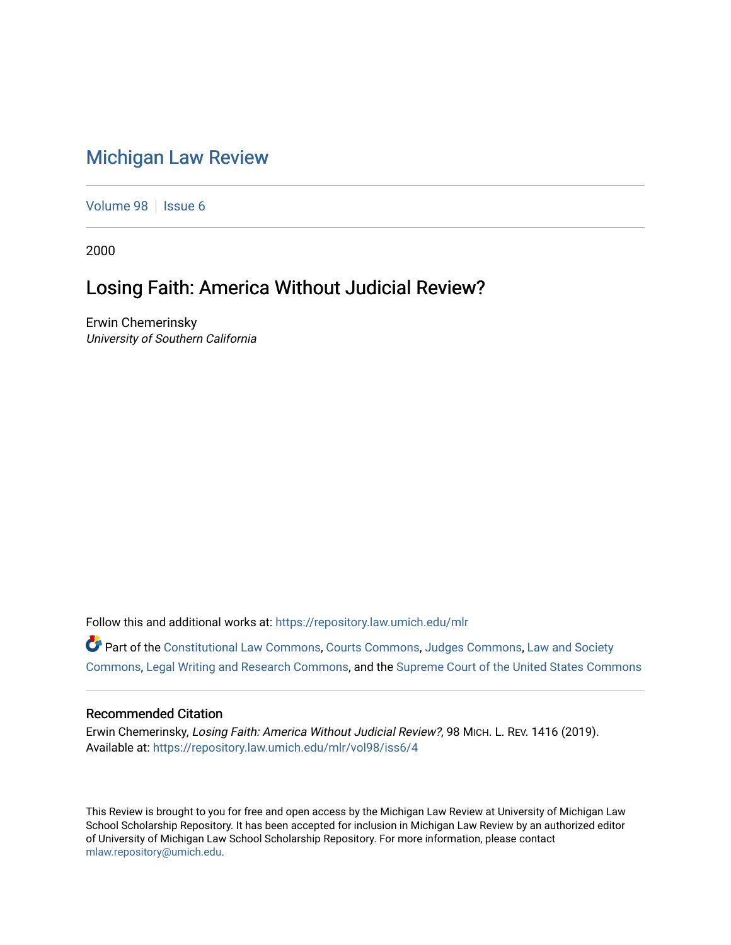# [Michigan Law Review](https://repository.law.umich.edu/mlr)

[Volume 98](https://repository.law.umich.edu/mlr/vol98) | [Issue 6](https://repository.law.umich.edu/mlr/vol98/iss6)

2000

# Losing Faith: America Without Judicial Review?

Erwin Chemerinsky University of Southern California

Follow this and additional works at: [https://repository.law.umich.edu/mlr](https://repository.law.umich.edu/mlr?utm_source=repository.law.umich.edu%2Fmlr%2Fvol98%2Fiss6%2F4&utm_medium=PDF&utm_campaign=PDFCoverPages) 

Part of the [Constitutional Law Commons,](http://network.bepress.com/hgg/discipline/589?utm_source=repository.law.umich.edu%2Fmlr%2Fvol98%2Fiss6%2F4&utm_medium=PDF&utm_campaign=PDFCoverPages) [Courts Commons,](http://network.bepress.com/hgg/discipline/839?utm_source=repository.law.umich.edu%2Fmlr%2Fvol98%2Fiss6%2F4&utm_medium=PDF&utm_campaign=PDFCoverPages) [Judges Commons](http://network.bepress.com/hgg/discipline/849?utm_source=repository.law.umich.edu%2Fmlr%2Fvol98%2Fiss6%2F4&utm_medium=PDF&utm_campaign=PDFCoverPages), [Law and Society](http://network.bepress.com/hgg/discipline/853?utm_source=repository.law.umich.edu%2Fmlr%2Fvol98%2Fiss6%2F4&utm_medium=PDF&utm_campaign=PDFCoverPages) [Commons](http://network.bepress.com/hgg/discipline/853?utm_source=repository.law.umich.edu%2Fmlr%2Fvol98%2Fiss6%2F4&utm_medium=PDF&utm_campaign=PDFCoverPages), [Legal Writing and Research Commons](http://network.bepress.com/hgg/discipline/614?utm_source=repository.law.umich.edu%2Fmlr%2Fvol98%2Fiss6%2F4&utm_medium=PDF&utm_campaign=PDFCoverPages), and the [Supreme Court of the United States Commons](http://network.bepress.com/hgg/discipline/1350?utm_source=repository.law.umich.edu%2Fmlr%2Fvol98%2Fiss6%2F4&utm_medium=PDF&utm_campaign=PDFCoverPages) 

### Recommended Citation

Erwin Chemerinsky, Losing Faith: America Without Judicial Review?, 98 MICH. L. REV. 1416 (2019). Available at: [https://repository.law.umich.edu/mlr/vol98/iss6/4](https://repository.law.umich.edu/mlr/vol98/iss6/4?utm_source=repository.law.umich.edu%2Fmlr%2Fvol98%2Fiss6%2F4&utm_medium=PDF&utm_campaign=PDFCoverPages)

This Review is brought to you for free and open access by the Michigan Law Review at University of Michigan Law School Scholarship Repository. It has been accepted for inclusion in Michigan Law Review by an authorized editor of University of Michigan Law School Scholarship Repository. For more information, please contact [mlaw.repository@umich.edu.](mailto:mlaw.repository@umich.edu)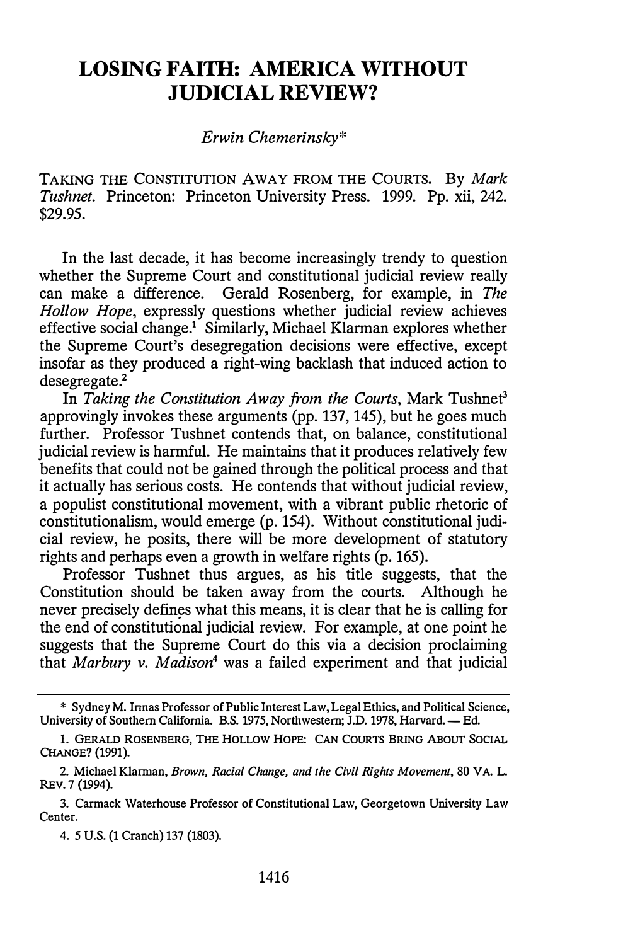# LOSING FAITH: AMERICA WITHOUT JUDICIAL REVIEW?

### Erwin Chemerinsky\*

TAKING THE CONSTITUTION AWAY FROM THE COURTS. By Mark Tushnet. Princeton: Princeton University Press. 1999. Pp. xii, 242. \$29.95.

In the last decade, it has become increasingly trendy to question whether the Supreme Court and constitutional judicial review really can make a difference. Gerald Rosenberg, for example, in The Hollow Hope, expressly questions whether judicial review achieves effective social change.1 Similarly, Michael Klarman explores whether the Supreme Court's desegregation decisions were effective, except insofar as they produced a right-wing backlash that induced action to desegregate.<sup>2</sup>

In Taking the Constitution Away from the Courts, Mark Tushnet<sup>3</sup> approvingly invokes these arguments (pp. 137, 145), but he goes much further. Professor Tushnet contends that, on balance, constitutional judicial review is harmful. He maintains that it produces relatively few benefits that could not be gained through the political process and that it actually has serious costs. He contends that without judicial review, a populist constitutional movement, with a vibrant public rhetoric of constitutionalism, would emerge (p. 154). Without constitutional judicial review, he posits, there will be more development of statutory rights and perhaps even a growth in welfare rights (p. 165).

Professor Tushnet thus argues, as his title suggests, that the Constitution should be taken away from the courts. Although he never precisely defin�s what this means, it is clear that he is calling for the end of constitutional judicial review. For example, at one point he suggests that the Supreme Court do this via a decision proclaiming that Marbury v. Madison<sup>4</sup> was a failed experiment and that judicial

<sup>\*</sup> Sydney M. Innas Professor of Public Interest Law, Legal Ethics, and Political Science, University of Southern California. B.S. 1975, Northwestern; J.D. 1978, Harvard. - Ed.

<sup>1.</sup> GERALD ROSENBERG, THE HOLLOW HOPE: CAN COURTS BRING ABOUT SOCIAL CHANGE? {1991).

<sup>2.</sup> Michael Klarman, Brown, Racial Change, and the Civil Rights Movement, 80 VA. L. REV. 7 {1994).

<sup>3.</sup> Carmack Waterhouse Professor of Constitutional Law, Georgetown University Law Center.

<sup>4. 5</sup> U.S. (1 Cranch) 137 (1803).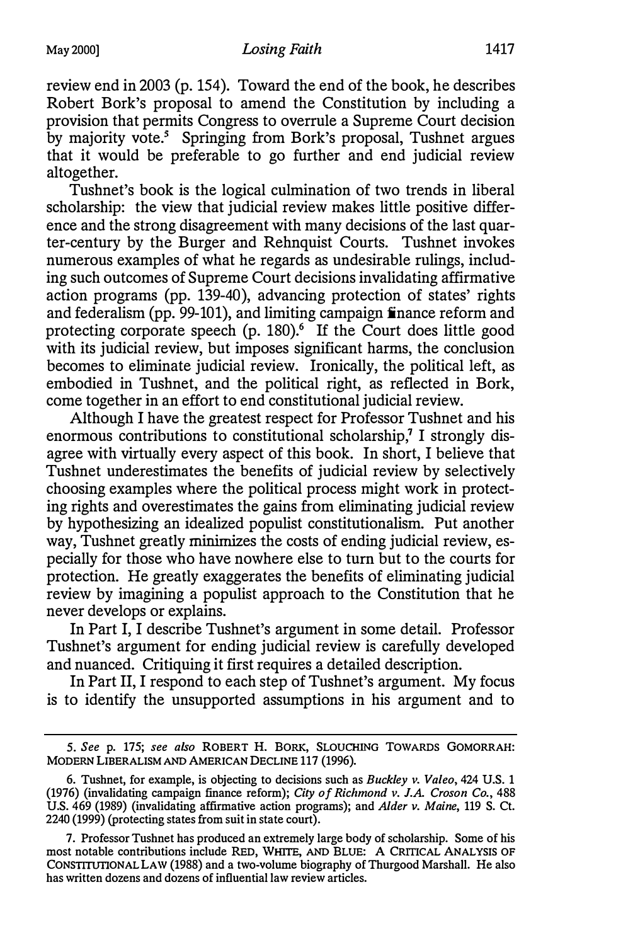review end in 2003 (p. 154). Toward the end of the book, he describes Robert Bork's proposal to amend the Constitution by including a provision that permits Congress to overrule a Supreme Court decision by majority vote.<sup>5</sup> Springing from Bork's proposal, Tushnet argues that it would be preferable to go further and end judicial review altogether.

Tushnet's book is the logical culmination of two trends in liberal scholarship: the view that judicial review makes little positive difference and the strong disagreement with many decisions of the last quarter-century by the Burger and Rehnquist Courts. Tushnet invokes numerous examples of what he regards as undesirable rulings, including such outcomes of Supreme Court decisions invalidating affirmative action programs (pp. 139-40), advancing protection of states' rights and federalism (pp. 99-101), and limiting campaign **finance reform and** protecting corporate speech  $(p. 180)$ .<sup>6</sup> If the Court does little good with its judicial review, but imposes significant harms, the conclusion becomes to eliminate judicial review. Ironically, the political left, as embodied in Tushnet, and the political right, as reflected in Bork, come together in an effort to end constitutional judicial review.

Although I have the greatest respect for Professor Tushnet and his enormous contributions to constitutional scholarship,<sup>7</sup> I strongly disagree with virtually every aspect of this book. In short, I believe that Tushnet underestimates the benefits of judicial review by selectively choosing examples where the political process might work in protecting rights and overestimates the gains from eliminating judicial review by hypothesizing an idealized populist constitutionalism. Put another way, Tushnet greatly minimizes the costs of ending judicial review, especially for those who have nowhere else to turn but to the courts for protection. He greatly exaggerates the benefits of eliminating judicial review by imagining a populist approach to the Constitution that he never develops or explains.

In Part I, I describe Tushnet's argument in some detail. Professor Tushnet's argument for ending judicial review is carefully developed and nuanced. Critiquing it first requires a detailed description.

In Part II, I respond to each step of Tushnet's argument. My focus is to identify the unsupported assumptions in his argument and to

<sup>5.</sup> See p. 175; see also ROBERT H. BORK, SLOUCHING TOWARDS GOMORRAH: MODERN LIBERALISM AND AMERICAN DECLINE 117 (1996).

<sup>6.</sup> Tushnet, for example, is objecting to decisions such as Buckley v. Valeo, 424 U.S. 1 (1976) (invalidating campaign finance reform); City of Richmond v. J.A. Croson Co., 488 U.S. 469 (1989) (invalidating affirmative action programs); and Alder v. Maine, 119 S. Ct. 2240 (1999) (protecting states from suit in state court).

<sup>7.</sup> Professor Tushnet has produced an extremely large body of scholarship. Some of his most notable contributions include RED, WHITE, AND BLUE: A CRITICAL ANALYSIS OF CONSTITUTIONAL LAW (1988) and a two-volume biography of Thurgood Marshall. He also has written dozens and dozens of influential law review articles.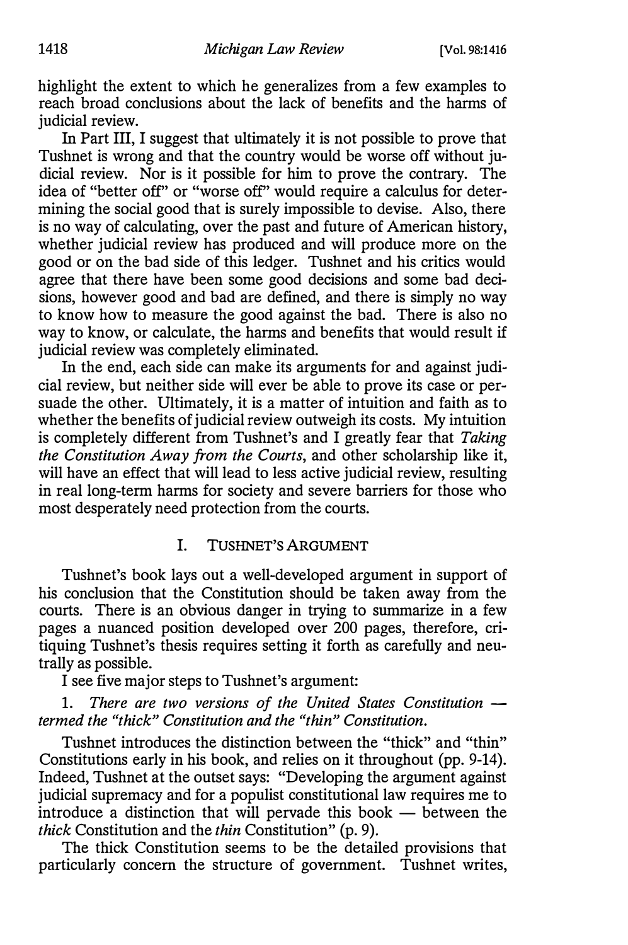highlight the extent to which he generalizes from a few examples to reach broad conclusions about the lack of benefits and the harms of judicial review.

In Part III, I suggest that ultimately it is not possible to prove that Tushnet is wrong and that the country would be worse off without judicial review. Nor is it possible for him to prove the contrary. The idea of "better off" or "worse off" would require a calculus for determining the social good that is surely impossible to devise. Also, there is no way of calculating, over the past and future of American history, whether judicial review has produced and will produce more on the good or on the bad side of this ledger. Tushnet and his critics would agree that there have been some good decisions and some bad decisions, however good and bad are defined, and there is simply no way to know how to measure the good against the bad. There is also no way to know, or calculate, the harms and benefits that would result if judicial review was completely eliminated.

In the end, each side can make its arguments for and against judicial review, but neither side will ever be able to prove its case or persuade the other. Ultimately, it is a matter of intuition and faith as to whether the benefits of judicial review outweigh its costs. My intuition is completely different from Tushnet's and I greatly fear that Taking the Constitution Away from the Courts, and other scholarship like it, will have an effect that will lead to less active judicial review, resulting in real long-term harms for society and severe barriers for those who most desperately need protection from the courts.

#### I. TUSHNET'S ARGUMENT

Tushnet's book lays out a well-developed argument in support of his conclusion that the Constitution should be taken away from the courts. There is an obvious danger in trying to summarize in a few pages a nuanced position developed over 200 pages, therefore, critiquing Tushnet's thesis requires setting it forth as carefully and neutrally as possible.

I see five major steps to Tushnet's argument:

1. There are two versions of the United States Constitution  $$ termed the "thick" Constitution and the "thin" Constitution.

Tushnet introduces the distinction between the "thick" and "thin" Constitutions early in his book, and relies on it throughout (pp. 9-14). Indeed, Tushnet at the outset says: "Developing the argument against judicial supremacy and for a populist constitutional law requires me to  $introduce$  a distinction that will pervade this book  $-$  between the thick Constitution and the thin Constitution" (p. 9).

The thick Constitution seems to be the detailed provisions that particularly concern the structure of government. Tushnet writes,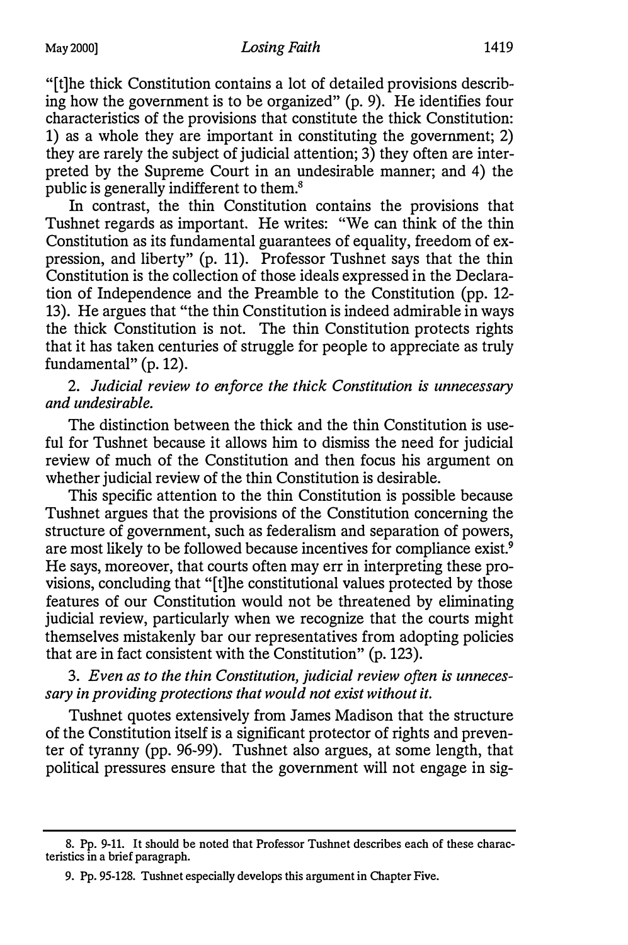"[t]he thick Constitution contains a lot of detailed provisions describing how the government is to be organized" (p. 9). He identifies four characteristics of the provisions that constitute the thick Constitution: 1) as a whole they are important in constituting the government; 2) they are rarely the subject of judicial attention; 3) they often are interpreted by the Supreme Court in an undesirable manner; and 4) the public is generally indifferent to them.8

In contrast, the thin Constitution contains the provisions that Tushnet regards as important. He writes: "We can think of the thin Constitution as its fundamental guarantees of equality, freedom of expression, and liberty" (p. 11). Professor Tushnet says that the thin Constitution is the collection of those ideals expressed in the Declaration of Independence and the Preamble to the Constitution (pp. 12- 13). He argues that "the thin Constitution is indeed admirable in ways the thick Constitution is not. The thin Constitution protects rights that it has taken centuries of struggle for people to appreciate as truly fundamental" (p. 12).

#### 2. Judicial review to enforce the thick Constitution is unnecessary and undesirable.

The distinction between the thick and the thin Constitution is useful for Tushnet because it allows him to dismiss the need for judicial review of much of the Constitution and then focus his argument on whether judicial review of the thin Constitution is desirable.

This specific attention to the thin Constitution is possible because Tushnet argues that the provisions of the Constitution concerning the structure of government, such as federalism and separation of powers, are most likely to be followed because incentives for compliance exist.<sup>9</sup> He says, moreover, that courts often may err in interpreting these provisions, concluding that "[t]he constitutional values protected by those features of our Constitution would not be threatened by eliminating judicial review, particularly when we recognize that the courts might themselves mistakenly bar our representatives from adopting policies that are in fact consistent with the Constitution" (p. 123).

3. Even as to the thin Constitution, judicial review often is unnecessary in providing protections that would not exist without it.

Tushnet quotes extensively from James Madison that the structure of the Constitution itself is a significant protector of rights and preventer of tyranny (pp. 96-99). Tushnet also argues, at some length, that political pressures ensure that the government will not engage in sig-

<sup>8.</sup> Pp. 9-11. It should be noted that Professor Tushnet describes each of these characteristics in a brief paragraph.

<sup>9.</sup> Pp. 95-128. Tushnet especially develops this argument in Chapter Five.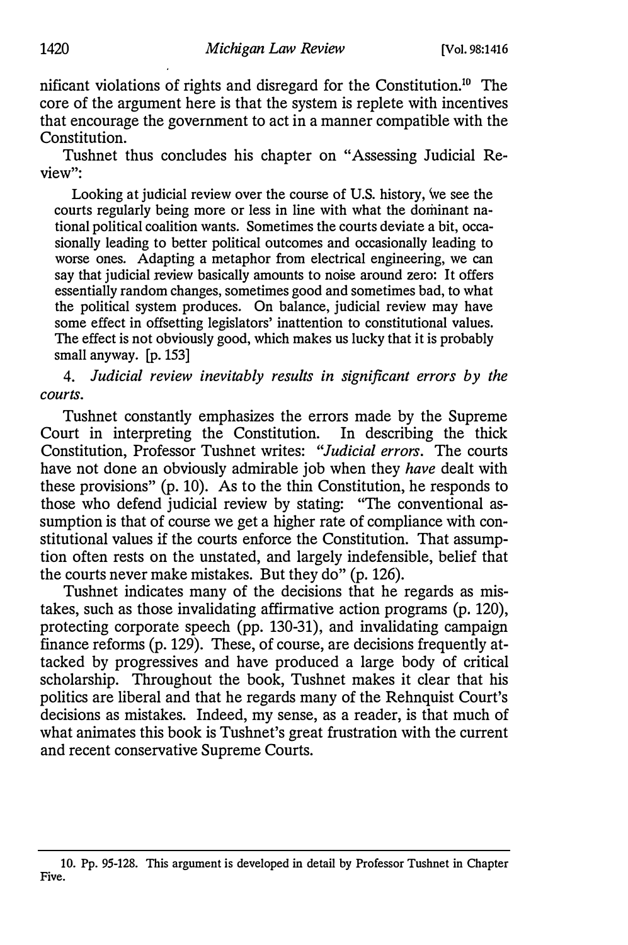nificant violations of rights and disregard for the Constitution.10 The core of the argument here is that the system is replete with incentives that encourage the government to act in a manner compatible with the Constitution.

Tushnet thus concludes his chapter on "Assessing Judicial Review":

Looking at judicial review over the course of U.S. history, we see the courts regularly being more or less in line with what the dominant national political coalition wants. Sometimes the courts deviate a bit, occasionally leading to better political outcomes and occasionally leading to worse ones. Adapting a metaphor from electrical engineering, we can say that judicial review basically amounts to noise around zero: It offers essentially random changes, sometimes good and sometimes bad, to what the political system produces. On balance, judicial review may have some effect in offsetting legislators' inattention to constitutional values. The effect is not obviously good, which makes us lucky that it is probably small anyway. [p. 153]

4. Judicial review inevitably results in significant errors by the courts.

Tushnet constantly emphasizes the errors made by the Supreme Court in interpreting the Constitution. In describing the thick Constitution, Professor Tushnet writes: "Judicial errors. The courts have not done an obviously admirable job when they have dealt with these provisions" (p. 10). As to the thin Constitution, he responds to those who defend judicial review by stating: "The conventional assumption is that of course we get a higher rate of compliance with constitutional values if the courts enforce the Constitution. That assumption often rests on the unstated, and largely indefensible, belief that the courts never make mistakes. But they do" (p. 126).

Tushnet indicates many of the decisions that he regards as mistakes, such as those invalidating affirmative action programs (p. 120), protecting corporate speech (pp. 130-31), and invalidating campaign finance reforms (p. 129). These, of course, are decisions frequently attacked by progressives and have produced a large body of critical scholarship. Throughout the book, Tushnet makes it clear that his politics are liberal and that he regards many of the Rehnquist Court's decisions as mistakes. Indeed, my sense, as a reader, is that much of what animates this book is Tushnet's great frustration with the current and recent conservative Supreme Courts.

<sup>10.</sup> Pp. 95-128. This argument is developed in detail by Professor Tushnet in Chapter Five.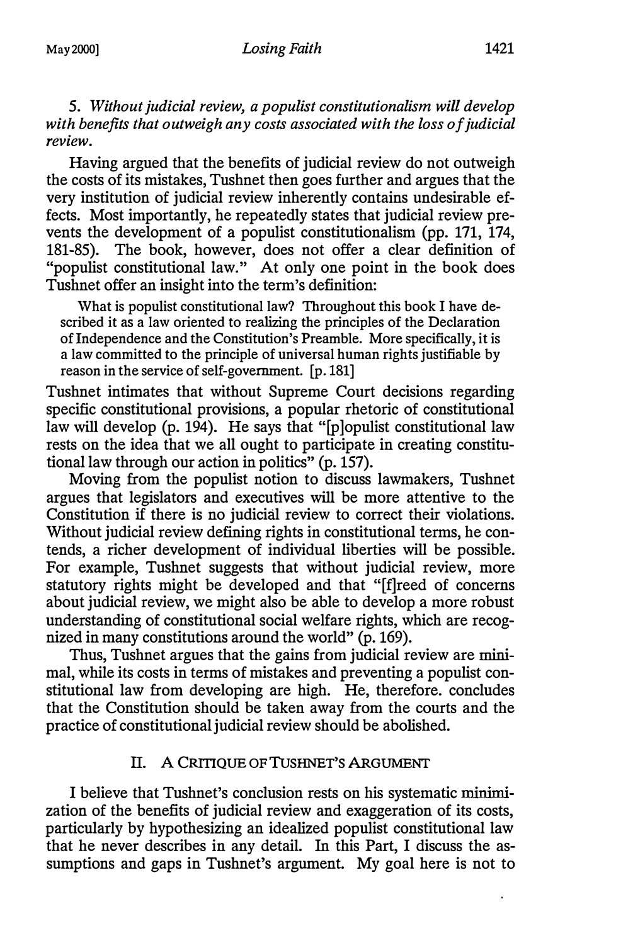5. Without judicial review, a populist constitutionalism will develop with benefits that outweigh any costs associated with the loss of judicial review.

Having argued that the benefits of judicial review do not outweigh the costs of its mistakes, Tushnet then goes further and argues that the very institution of judicial review inherently contains undesirable effects. Most importantly, he repeatedly states that judicial review prevents the development of a populist constitutionalism (pp. 171, 174, 181-85). The book, however, does not offer a clear definition of "populist constitutional law." At only one point in the book does Tushnet offer an insight into the term's definition:

What is populist constitutional law? Throughout this book I have described it as a law oriented to realizing the principles of the Declaration of Independence and the Constitution's Preamble. More specifically, it is a law committed to the principle of universal human rights justifiable by reason in the service of self-government. [p. 181]

Tushnet intimates that without Supreme Court decisions regarding specific constitutional provisions, a popular rhetoric of constitutional law will develop (p. 194). He says that "[p]opulist constitutional law rests on the idea that we all ought to participate in creating constitutional law through our action in politics" (p. 157).

Moving from the populist notion to discuss lawmakers, Tushnet argues that legislators and executives will be more attentive to the Constitution if there is no judicial review to correct their violations. Without judicial review defining rights in constitutional terms, he contends, a richer development of individual liberties will be possible. For example, Tushnet suggests that without judicial review, more statutory rights might be developed and that "[f]reed of concerns about judicial review, we might also be able to develop a more robust understanding of constitutional social welfare rights, which are recognized in many constitutions around the world" (p. 169).

Thus, Tushnet argues that the gains from judicial review are minimal, while its costs in terms of mistakes and preventing a populist constitutional law from developing are high. He, therefore. concludes that the Constitution should be taken away from the courts and the practice of constitutional judicial review should be abolished.

#### II. A CRITIQUE OF TUSHNET'S ARGUMENT

I believe that Tushnet's conclusion rests on his systematic minimization of the benefits of judicial review and exaggeration of its costs, particularly by hypothesizing an idealized populist constitutional law that he never describes in any detail. In this Part, I discuss the assumptions and gaps in Tushnet's argument. My goal here is not to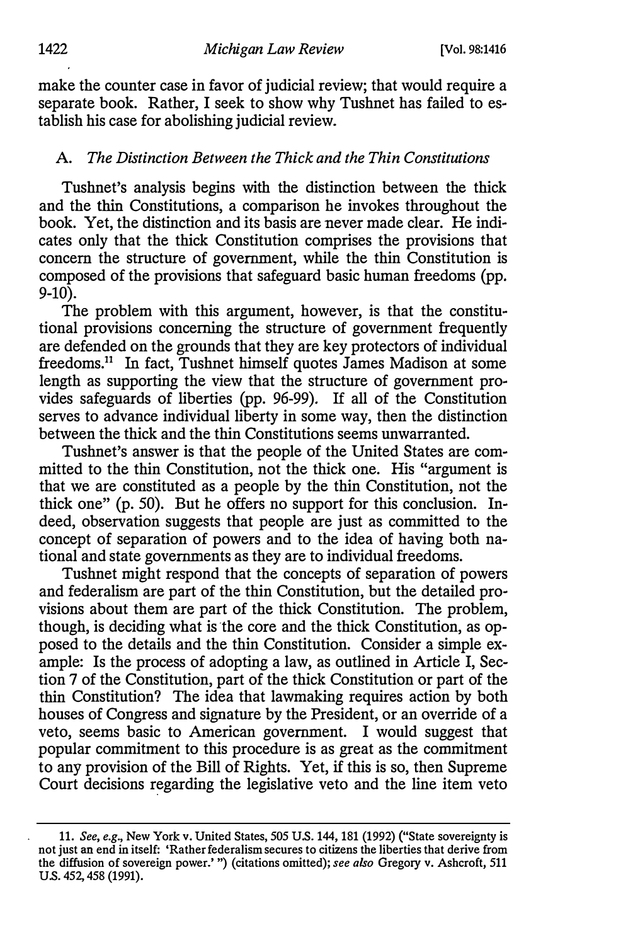make the counter case in favor of judicial review; that would require a separate book. Rather, I seek to show why Tushnet has failed to establish his case for abolishing judicial review.

#### A. The Distinction Between the Thick and the Thin Constitutions

Tushnet's analysis begins with the distinction between the thick and the thin Constitutions, a comparison he invokes throughout the book. Yet, the distinction and its basis are never made clear. He indicates only that the thick Constitution comprises the provisions that concern the structure of government, while the thin Constitution is composed of the provisions that safeguard basic human freedoms (pp. 9-10).

The problem with this argument, however, is that the constitutional provisions concerning the structure of government frequently are defended on the grounds that they are key protectors of individual freedoms.11 In fact, Tushnet himself quotes James Madison at some length as supporting the view that the structure of government provides safeguards of liberties (pp. 96-99). If all of the Constitution serves to advance individual liberty in some way, then the distinction between the thick and the thin Constitutions seems unwarranted.

Tushnet's answer is that the people of the United States are committed to the thin Constitution, not the thick one. His "argument is that we are constituted as a people by the thin Constitution, not the thick one" (p. 50). But he offers no support for this conclusion. Indeed, observation suggests that people are just as committed to the concept of separation of powers and to the idea of having both national and state governments as they are to individual freedoms.

Tushnet might respond that the concepts of separation of powers and federalism are part of the thin Constitution, but the detailed provisions about them are part of the thick Constitution. The problem, though, is deciding what is the core and the thick Constitution, as opposed to the details and the thin Constitution. Consider a simple example: Is the process of adopting a law, as outlined in Article I, Section 7 of the Constitution, part of the thick Constitution or part of the thin Constitution? The idea that lawmaking requires action by both houses of Congress and signature by the President, or an override of a veto, seems basic to American government. I would suggest that popular commitment to this procedure is as great as the commitment to any provision of the Bill of Rights. Yet, if this is so, then Supreme Court decisions regarding the legislative veto and the line item veto

<sup>11.</sup> See, e.g., New York v. United States, 505 U.S. 144, 181 (1992) ("State sovereignty is not just an end in itself: 'Rather federalism secures to citizens the liberties that derive from the diffusion of sovereign power.'") (citations omitted); see also Gregory v. Ashcroft, 511 U.S. 452, 458 (1991).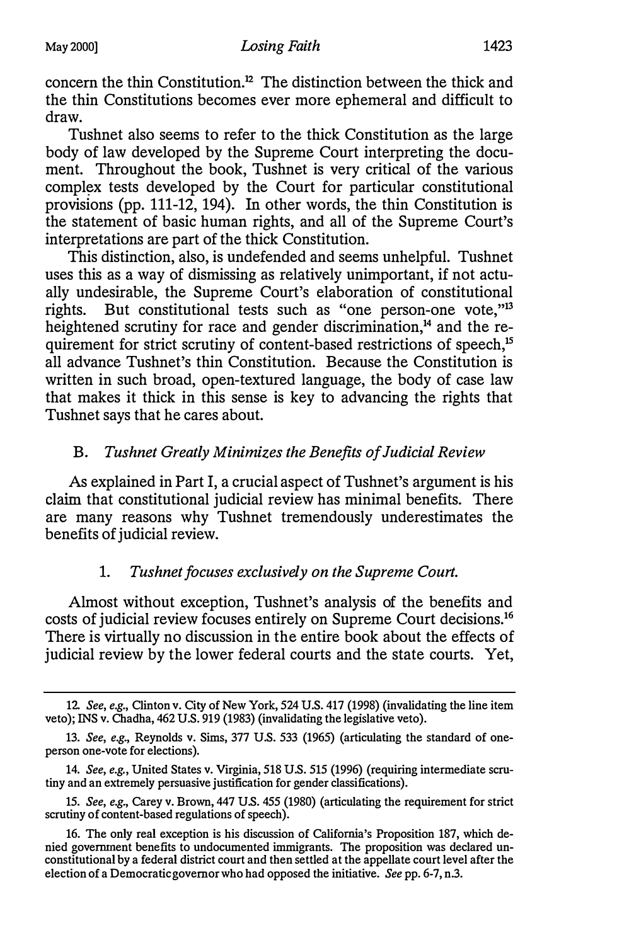concern the thin Constitution.12 The distinction between the thick and the thin Constitutions becomes ever more ephemeral and difficult to draw.

Tushnet also seems to refer to the thick Constitution as the large body of law developed by the Supreme Court interpreting the document. Throughout the book, Tushnet is very critical of the various complex tests developed by the Court for particular constitutional provisions (pp. 111-12, 194). In other words, the thin Constitution is the statement of basic human rights, and all of the Supreme Court's interpretations are part of the thick Constitution.

This distinction, also, is undefended and seems unhelpful. Tushnet uses this as a way of dismissing as relatively unimportant, if not actually undesirable, the Supreme Court's elaboration of constitutional rights. But constitutional tests such as "one person-one vote,"13 heightened scrutiny for race and gender discrimination,<sup>14</sup> and the requirement for strict scrutiny of content-based restrictions of speech,<sup>15</sup> all advance Tushnet's thin Constitution. Because the Constitution is written in such broad, open-textured language, the body of case law that makes it thick in this sense is key to advancing the rights that Tushnet says that he cares about.

#### B. Tushnet Greatly Minimizes the Benefits of Judicial Review

As explained in Part I, a crucial aspect of Tushnet's argument is his claim that constitutional judicial review has minimal benefits. There are many reasons why Tushnet tremendously underestimates the benefits of judicial review.

#### 1. Tushnet focuses exclusively on the Supreme Court.

Almost without exception, Tushnet's analysis of the benefits and costs of judicial review focuses entirely on Supreme Court decisions.16 There is virtually no discussion in the entire book about the effects of judicial review by the lower federal courts and the state courts. Yet,

<sup>12</sup> See, e.g., Clinton v. City of New York, 524 U.S. 417 (1998) (invalidating the line item veto); INS v. Chadha, 462 U.S. 919 (1983) (invalidating the legislative veto).

<sup>13.</sup> See, e.g., Reynolds v. Sims, 377 U.S. 533 (1965) (articulating the standard of oneperson one-vote for elections).

<sup>14.</sup> See, e.g., United States v. Virginia, 518 U.S. 515 (1996) (requiring intermediate scrutiny and an extremely persuasive justification for gender classifications).

<sup>15.</sup> See, e.g., Carey v. Brown, 447 U.S. 455 (1980) (articulating the requirement for strict scrutiny of content-based regulations of speech).

<sup>16.</sup> The only real exception is his discussion of California's Proposition 187, which denied government benefits to undocumented immigrants. The proposition was declared unconstitutional by a federal district court and then settled at the appellate court level after the election of a Democratic governor who had opposed the initiative. See pp. 6-7, n.3.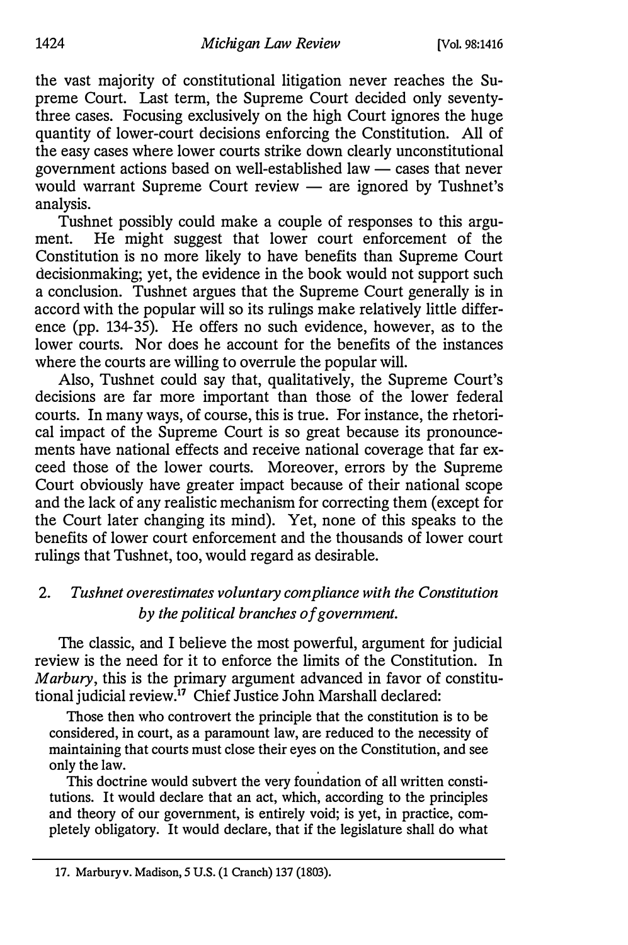the vast majority of constitutional litigation never reaches the Supreme Court. Last term, the Supreme Court decided only seventythree cases. Focusing exclusively on the high Court ignores the huge quantity of lower-court decisions enforcing the Constitution. All of the easy cases where lower courts strike down clearly unconstitutional government actions based on well-established law — cases that never would warrant Supreme Court review  $-$  are ignored by Tushnet's analysis.

Tushnet possibly could make a couple of responses to this argument. He might suggest that lower court enforcement of the Constitution is no more likely to have benefits than Supreme Court decisionmaking; yet, the evidence in the book would not support such a conclusion. Tushnet argues that the Supreme Court generally is in accord with the popular will so its rulings make relatively little difference (pp. 134-35). He offers no such evidence, however, as to the lower courts. Nor does he account for the benefits of the instances where the courts are willing to overrule the popular will.

Also, Tushnet could say that, qualitatively, the Supreme Court's decisions are far more important than those of the lower federal courts. In many ways, of course, this is true. For instance, the rhetorical impact of the Supreme Court is so great because its pronouncements have national effects and receive national coverage that far exceed those of the lower courts. Moreover, errors by the Supreme Court obviously have greater impact because of their national scope and the lack of any realistic mechanism for correcting them (except for the Court later changing its mind). Yet, none of this speaks to the benefits of lower court enforcement and the thousands of lower court rulings that Tushnet, too, would regard as desirable.

## 2. Tushnet overestimates voluntary compliance with the Constitution by the political branches of government.

The classic, and I believe the most powerful, argument for judicial review is the need for it to enforce the limits of the Constitution. In Marbury, this is the primary argument advanced in favor of constitutional judicial review.17 Chief Justice John Marshall declared:

Those then who controvert the principle that the constitution is to be considered, in court, as a paramount law, are reduced to the necessity of maintaining that courts must close their eyes on the Constitution, and see only the law.

This doctrine would subvert the very foundation of all written constitutions. It would declare that an act, which, according to the principles and theory of our government, is entirely void; is yet, in practice, completely obligatory. It would declare, that if the legislature shall do what

<sup>17.</sup> Marburyv. Madison, 5 U.S. (1 Cranch) 137 {1803) .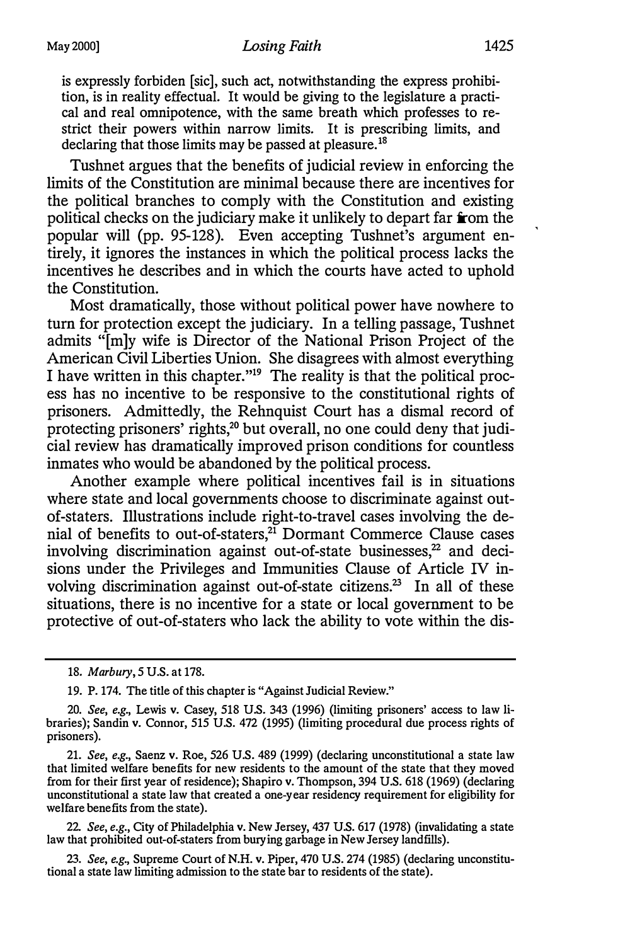is expressly forbiden [sic], such act, notwithstanding the express prohibition, is in reality effectual. It would be giving to the legislature a practical and real omnipotence, with the same breath which professes to restrict their powers within narrow limits. It is prescribing limits, and declaring that those limits may be passed at pleasure.<sup>18</sup>

Tushnet argues that the benefits of judicial review in enforcing the limits of the Constitution are minimal because there are incentives for the political branches to comply with the Constitution and existing political checks on the judiciary make it unlikely to depart far from the popular will (pp. 95-128). Even accepting Tushnet's argument entirely, it ignores the instances in which the political process lacks the incentives he describes and in which the courts have acted to uphold the Constitution.

Most dramatically, those without political power have nowhere to turn for protection except the judiciary. In a telling passage, Tushnet admits "[m]y wife is Director of the National Prison Project of the American Civil Liberties Union. She disagrees with almost everything I have written in this chapter."<sup>19</sup> The reality is that the political process has no incentive to be responsive to the constitutional rights of prisoners. Admittedly, the Rehnquist Court has a dismal record of protecting prisoners' rights,20 but overall, no one could deny that judicial review has dramatically improved prison conditions for countless inmates who would be abandoned by the political process.

Another example where political incentives fail is in situations where state and local governments choose to discriminate against outof-staters. Illustrations include right-to-travel cases involving the denial of benefits to out-of-staters,<sup>21</sup> Dormant Commerce Clause cases involving discrimination against out-of-state businesses, $2^2$  and decisions under the Privileges and Immunities Clause of Article IV involving discrimination against out-of-state citizens.<sup>23</sup> In all of these situations, there is no incentive for a state or local government to be protective of out-of-staters who lack the ability to vote within the dis-

23. See, e.g., Supreme Court of N.H. v. Piper, 470 U.S. 274 (1985) (declaring unconstitutional a state law limiting admission to the state bar to residents of the state).

<sup>18.</sup> Marbury, 5 U.S. at 178.

<sup>19.</sup> P. 174. The title of this chapter is "Against Judicial Review."

<sup>20.</sup> See, e.g., Lewis v. Casey, 518 U.S. 343 (1996) (limiting prisoners' access to law libraries); Sandin v. Connor, 515 U.S. 472 (1995) (limiting procedural due process rights of prisoners).

<sup>21.</sup> See, e.g., Saenz v. Roe, 526 U.S. 489 (1999) (declaring unconstitutional a state law that limited welfare benefits for new residents to the amount of the state that they moved from for their first year of residence); Shapiro v. Thompson, 394 U.S. 618 (1969) (declaring unconstitutional a state law that created a one-year residency requirement for eligibility for welfare benefits from the state).

<sup>22.</sup> See, e.g., City of Philadelphia v. New Jersey, 437 U.S. 617 (1978) (invalidating a state law that prohibited out-of-staters from burying garbage in New Jersey landfills).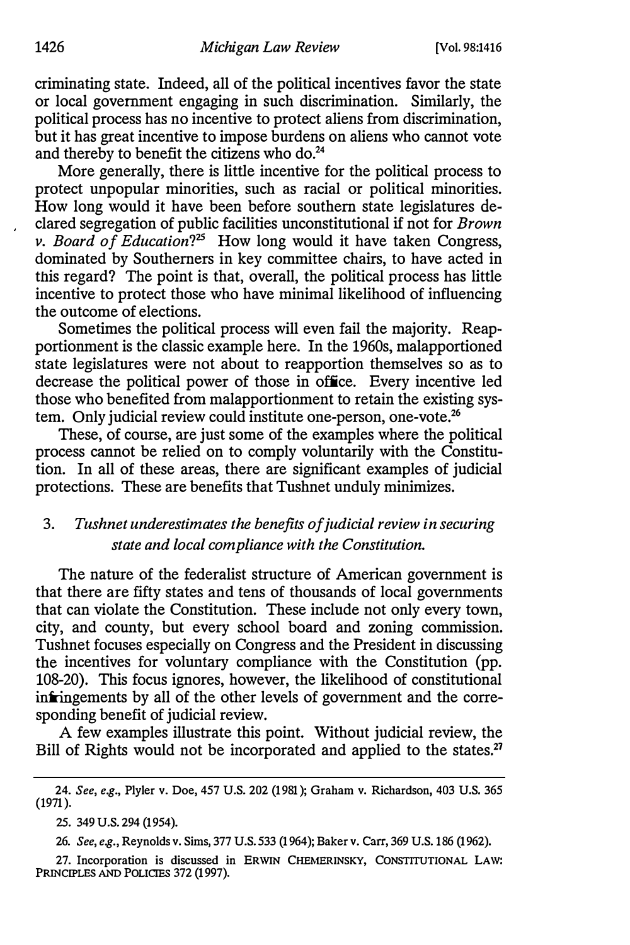criminating state. Indeed, all of the political incentives favor the state or local government engaging in such discrimination. Similarly, the political process has no incentive to protect aliens from discrimination, but it has great incentive to impose burdens on aliens who cannot vote and thereby to benefit the citizens who do.<sup>24</sup>

More generally, there is little incentive for the political process to protect unpopular minorities, such as racial or political minorities. How long would it have been before southern state legislatures declared segregation of public facilities unconstitutional if not for Brown v. Board of Education?<sup>25</sup> How long would it have taken Congress, dominated by Southerners in key committee chairs, to have acted in this regard? The point is that, overall, the political process has little incentive to protect those who have minimal likelihood of influencing the outcome of elections.

Sometimes the political process will even fail the majority. Reapportionment is the classic example here. In the 1960s, malapportioned state legislatures were not about to reapportion themselves so as to decrease the political power of those in office. Every incentive led those who benefited from malapportionment to retain the existing system. Only judicial review could institute one-person, one-vote.<sup>26</sup>

These, of course, are just some of the examples where the political process cannot be relied on to comply voluntarily with the Constitution. In all of these areas, there are significant examples of judicial protections. These are benefits that Tushnet unduly minimizes.

### 3. Tushnet underestimates the benefits of judicial review in securing state and local compliance with the Constitution.

The nature of the federalist structure of American government is that there are fifty states and tens of thousands of local governments that can violate the Constitution. These include not only every town, city, and county, but every school board and zoning commission. Tushnet focuses especially on Congress and the President in discussing the incentives for voluntary compliance with the Constitution (pp. infringements by all of the other levels of government and the corre-108-20). This focus ignores, however, the likelihood of constitutional sponding benefit of judicial review.

A few examples illustrate this point. Without judicial review, the Bill of Rights would not be incorporated and applied to the states.<sup>27</sup>

<sup>24.</sup> See, e.g., Plyler v. Doe, 457 U.S. 202 (1981); Graham v. Richardson, 403 U.S. 365 (1971).

<sup>25.</sup> 349 U.S. 294 (1954).

<sup>26.</sup> See, e.g., Reynolds v. Sims, 377 U.S. 533 (1964); Baker v. Carr, 369 U.S. 186 (1962).

<sup>27.</sup> Incorporation is discussed in ERWIN CHEMERINSKY, CONSTITUTIONAL LAW: PRINCIPLES AND POLICIES 372 (1997).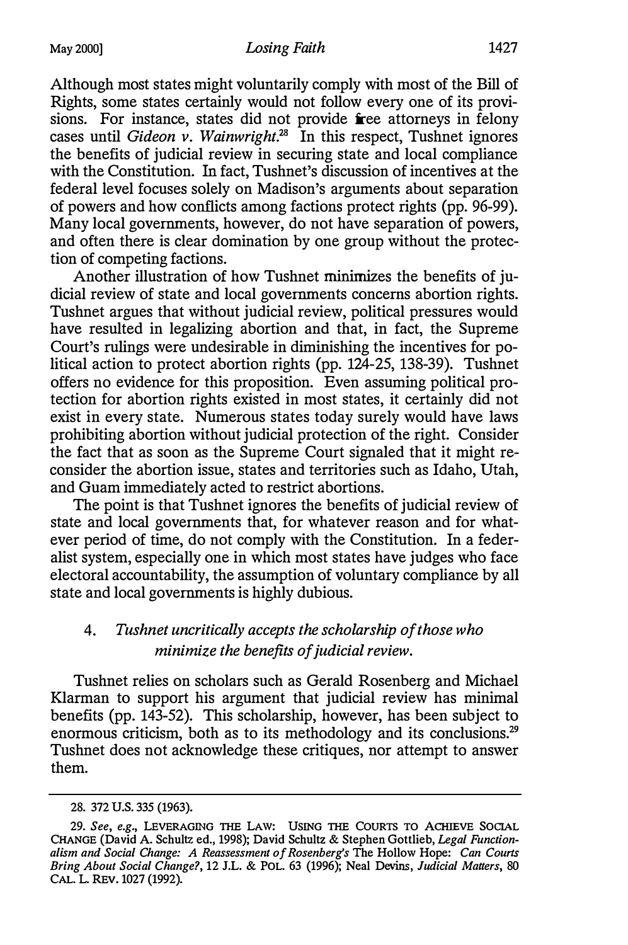Although most states might voluntarily comply with most of the Bill of Rights, some states certainly would not follow every one of its provisions. For instance, states did not provide free attorneys in felony cases until Gideon v. Wainwright.<sup>28</sup> In this respect, Tushnet ignores the benefits of judicial review in securing state and local compliance with the Constitution. In fact, Tushnet's discussion of incentives at the federal level focuses solely on Madison's arguments about separation of powers and how conflicts among factions protect rights (pp. 96-99). Many local governments, however, do not have separation of powers, and often there is clear domination by one group without the protection of competing factions.

Another illustration of how Tushnet minimizes the benefits of judicial review of state and local governments concerns abortion rights. Tushnet argues that without judicial review, political pressures would have resulted in legalizing abortion and that, in fact, the Supreme Court's rulings were undesirable in diminishing the incentives for political action to protect abortion rights (pp. 124-25, 138-39). Tushnet offers no evidence for this proposition. Even assuming political protection for abortion rights existed in most states, it certainly did not exist in every state. Numerous states today surely would have laws prohibiting abortion without judicial protection of the right. Consider the fact that as soon as the Supreme Court signaled that it might reconsider the abortion issue, states and territories such as Idaho, Utah, and Guam immediately acted to restrict abortions.

The point is that Tushnet ignores the benefits of judicial review of state and local governments that, for whatever reason and for whatever period of time, do not comply with the Constitution. In a federalist system, especially one in which most states have judges who face electoral accountability, the assumption of voluntary compliance by all state and local governments is highly dubious.

### 4. Tushnet uncritically accepts the scholarship of those who minimize the benefits of judicial review.

Tushnet relies on scholars such as Gerald Rosenberg and Michael Klarman to support his argument that judicial review has minimal benefits (pp. 143-52). This scholarship, however, has been subject to enormous criticism, both as to its methodology and its conclusions.<sup>29</sup> Tushnet does not acknowledge these critiques, nor attempt to answer them.

<sup>28. 372</sup> U.S. 335 (1963).

<sup>29.</sup> See, e.g., LEVERAGING THE LAW: USING THE COURTS TO ACHIEVE SOCIAL CHANGE (David A. Schultz ed., 1998); David Schultz & Stephen Gottlieb, Legal Functionalism and Social Change: A Reassessment of Rosenberg's The Hollow Hope: Can Courts Bring About Social Change?, 12 J.L. & POL. 63 (1996); Neal Devins, Judicial Matters, 80 CAL. L. REv. 1027 (1992).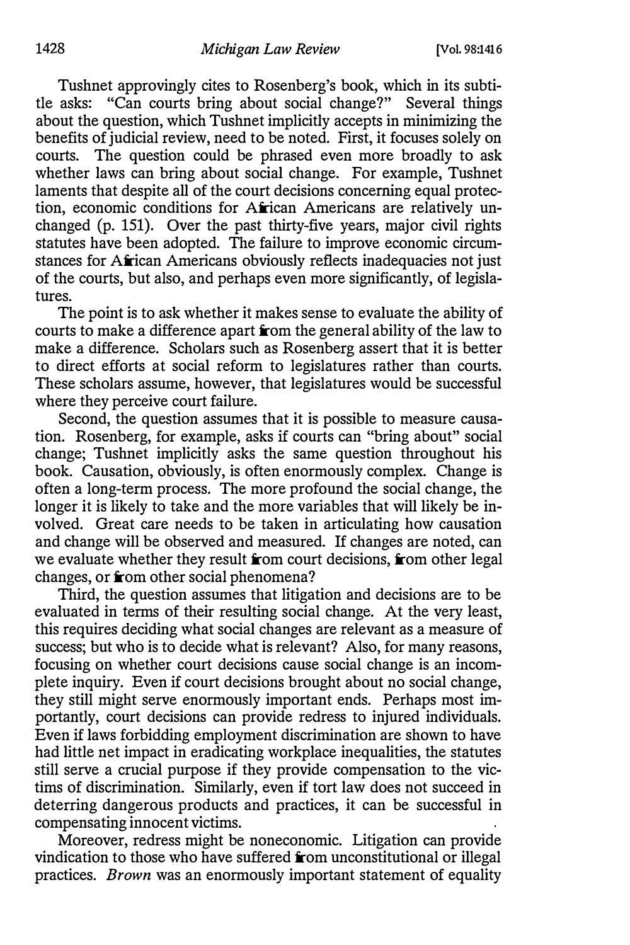Tushnet approvingly cites to Rosenberg's book, which in its subtitle asks: "Can courts bring about social change?" Several things about the question, which Tushnet implicitly accepts in minimizing the benefits of judicial review, need to be noted. First, it focuses solely on courts. The question could be phrased even more broadly to ask whether laws can bring about social change. For example, Tushnet laments that despite all of the court decisions concerning equal protection, economic conditions for African Americans are relatively unchanged (p. 151). Over the past thirty-five years, major civil rights statutes have been adopted. The failure to improve economic circumstances for African Americans obviously reflects inadequacies not just of the courts, but also, and perhaps even more significantly, of legislatures.

The point is to ask whether it makes sense to evaluate the ability of courts to make a difference apart from the general ability of the law to make a difference. Scholars such as Rosenberg assert that it is better to direct efforts at social reform to legislatures rather than courts. These scholars assume, however, that legislatures would be successful where they perceive court failure.

Second, the question assumes that it is possible to measure causation. Rosenberg, for example, asks if courts can "bring about" social change; Tushnet implicitly asks the same question throughout his book. Causation, obviously, is often enormously complex. Change is often a long-term process. The more profound the social change, the longer it is likely to take and the more variables that will likely be involved. Great care needs to be taken in articulating how causation and change will be observed and measured. If changes are noted, can we evaluate whether they result from court decisions, from other legal changes, or from other social phenomena?

Third, the question assumes that litigation and decisions are to be evaluated in terms of their resulting social change. At the very least, this requires deciding what social changes are relevant as a measure of success; but who is to decide what is relevant? Also, for many reasons, focusing on whether court decisions cause social change is an incomplete inquiry. Even if court decisions brought about no social change, they still might serve enormously important ends. Perhaps most importantly, court decisions can provide redress to injured individuals. Even if laws forbidding employment discrimination are shown to have had little net impact in eradicating workplace inequalities, the statutes still serve a crucial purpose if they provide compensation to the victims of discrimination. Similarly, even if tort law does not succeed in deterring dangerous products and practices, it can be successful in compensating innocent victims.

Moreover, redress might be noneconomic. Litigation can provide vindication to those who have suffered **from** unconstitutional or illegal practices. Brown was an enormously important statement of equality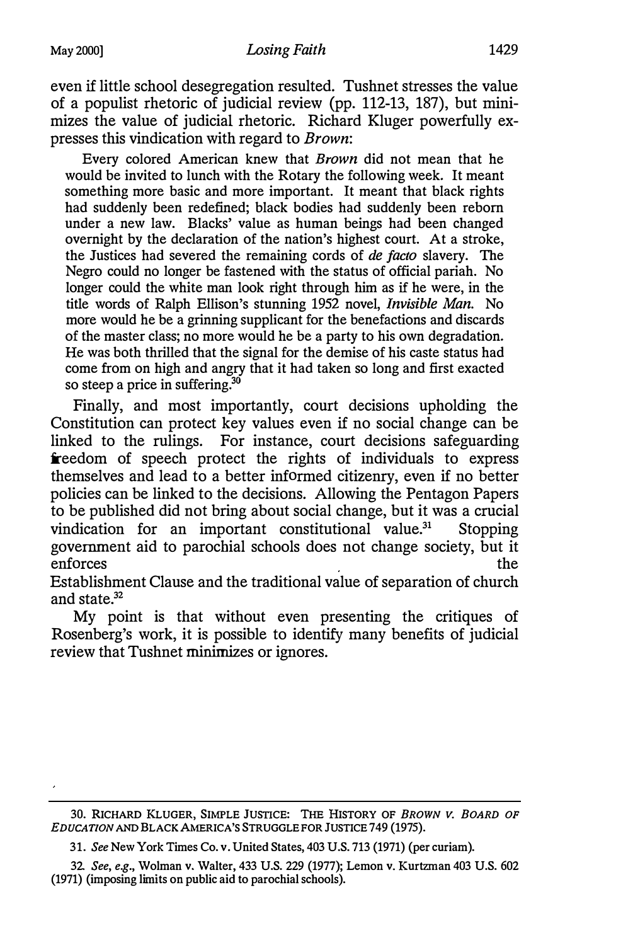even if little school desegregation resulted. Tushnet stresses the value of a populist rhetoric of judicial review (pp. 112-13, 187), but minimizes the value of judicial rhetoric. Richard Kluger powerfully expresses this vindication with regard to Brown:

Every colored American knew that Brown did not mean that he would be invited to lunch with the Rotary the following week. It meant something more basic and more important. It meant that black rights had suddenly been redefined; black bodies had suddenly been reborn under a new law. Blacks' value as human beings had been changed overnight by the declaration of the nation's highest court. At a stroke, the Justices had severed the remaining cords of de facto slavery. The Negro could no longer be fastened with the status of official pariah. No longer could the white man look right through him as if he were, in the title words of Ralph Ellison's stunning 1952 novel, Invisible Man. No more would he be a grinning supplicant for the benefactions and discards of the master class; no more would he be a party to his own degradation. He was both thrilled that the signal for the demise of his caste status had come from on high and angry that it had taken so long and first exacted so steep a price in suffering.<sup>30</sup>

Finally, and most importantly, court decisions upholding the Constitution can protect key values even if no social change can be linked to the rulings. For instance, court decisions safeguarding freedom of speech protect the rights of individuals to express themselves and lead to a better informed citizenry, even if no better policies can be linked to the decisions. Allowing the Pentagon Papers to be published did not bring about social change, but it was a crucial vindication for an important constitutional value. $31$  Stopping government aid to parochial schools does not change society, but it enforces the set of the set of the set of the set of the set of the set of the set of the set of the set of the

Establishment Clause and the traditional value of separation of church and state.<sup>32</sup>

My point is that without even presenting the critiques of Rosenberg's work, it is possible to identify many benefits of judicial review that Tushnet minimizes or ignores.

30. RICHARD KLUGER, SIMPLE JUSTICE: THE HISTORY OF BROWN V. BOARD OF EDUCATION AND BLACK AMERICA'S STRUGGLE FOR JUSTICE 749 (1975).

<sup>31.</sup> See New York Times Co. v. United States, 403 U.S. 713 (1971) (per curiam).

<sup>32</sup> See, e.g., Wolman v. Walter, 433 U.S. 229 (1977); Lemon v. Kurtzman 403 U.S. 602 (1971) (imposing limits on public aid to parochial schools).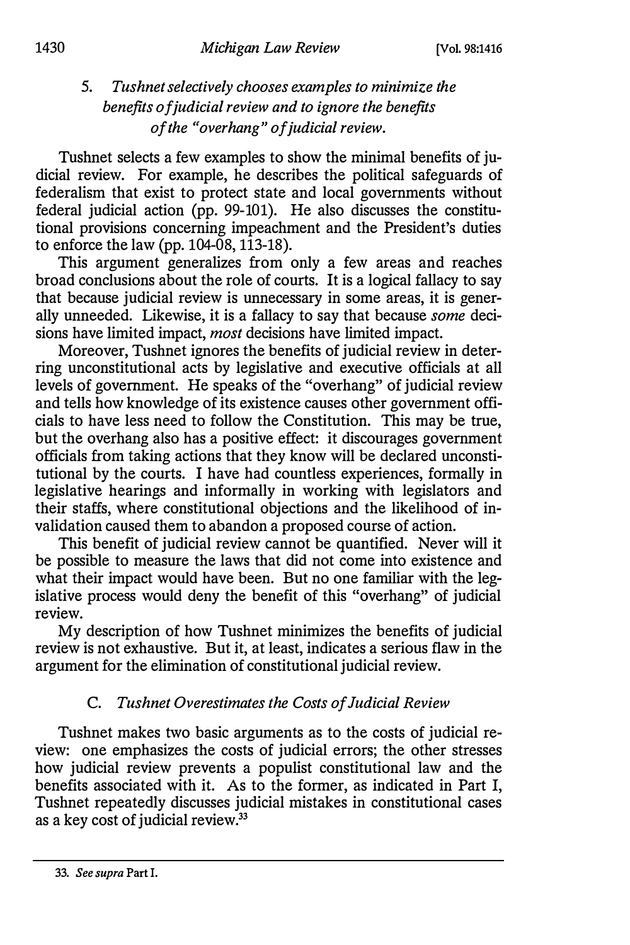# 5. Tushnet selectively chooses examples to minimize the benefits of judicial review and to ignore the benefits of the "overhang" of judicial review.

Tushnet selects a few examples to show the minimal benefits of judicial review. For example, he describes the political safeguards of federalism that exist to protect state and local governments without federal judicial action (pp. 99-101). He also discusses the constitutional provisions concerning impeachment and the President's duties to enforce the law (pp. 104-08, 113-18).

This argument generalizes from only a few areas and reaches broad conclusions about the role of courts. It is a logical fallacy to say that because judicial review is unnecessary in some areas, it is generally unneeded. Likewise, it is a fallacy to say that because some decisions have limited impact, most decisions have limited impact.

Moreover, Tushnet ignores the benefits of judicial review in deterring unconstitutional acts by legislative and executive officials at all levels of government. He speaks of the "overhang" of judicial review and tells how knowledge of its existence causes other government officials to have less need to follow the Constitution. This may be true, but the overhang also has a positive effect: it discourages government officials from taking actions that they know will be declared unconstitutional by the courts. I have had countless experiences, formally in legislative hearings and informally in working with legislators and their staffs, where constitutional objections and the likelihood of invalidation caused them to abandon a proposed course of action.

This benefit of judicial review cannot be quantified. Never will it be possible to measure the laws that did not come into existence and what their impact would have been. But no one familiar with the legislative process would deny the benefit of this "overhang" of judicial review.

My description of how Tushnet minimizes the benefits of judicial review is not exhaustive. But it, at least, indicates a serious flaw in the argument for the elimination of constitutional judicial review.

## C. Tushnet Overestimates the Costs of Judicial Review

Tushnet makes two basic arguments as to the costs of judicial review: one emphasizes the costs of judicial errors; the other stresses how judicial review prevents a populist constitutional law and the benefits associated with it. As to the former, as indicated in Part I, Tushnet repeatedly discusses judicial mistakes in constitutional cases as a key cost of judicial review.33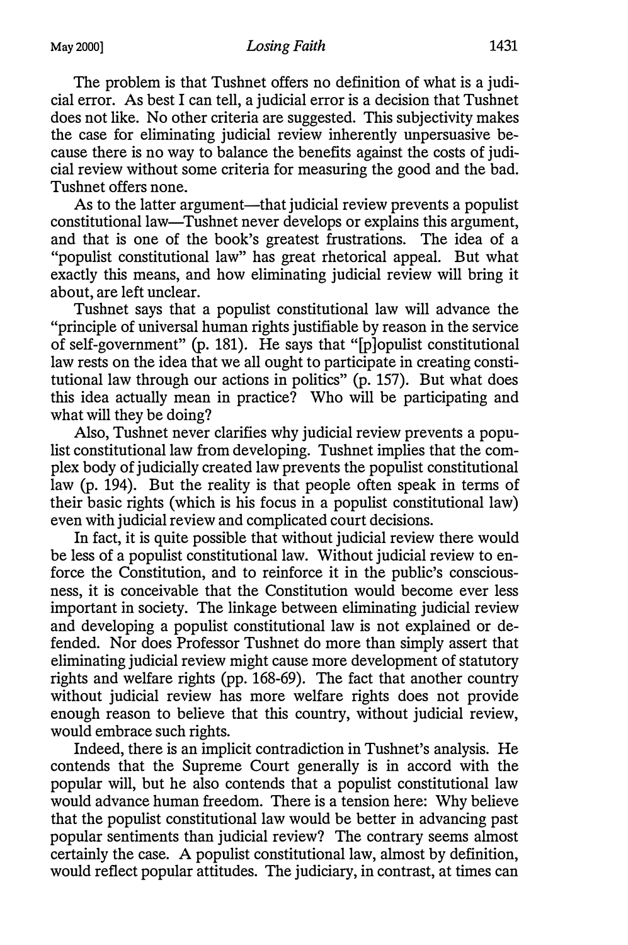The problem is that Tushnet offers no definition of what is a judicial error. As best I can tell, a judicial error is a decision that Tushnet does not like. No other criteria are suggested. This subjectivity makes the case for eliminating judicial review inherently unpersuasive because there is no way to balance the benefits against the costs of judicial review without some criteria for measuring the good and the bad. Tushnet offers none.

As to the latter argument—that judicial review prevents a populist constitutional law-Tushnet never develops or explains this argument, and that is one of the book's greatest frustrations. The idea of a "populist constitutional law" has great rhetorical appeal. But what exactly this means, and how eliminating judicial review will bring it about, are left unclear.

Tushnet says that a populist constitutional law will advance the "principle of universal human rights justifiable by reason in the service of self-government" (p. 181). He says that "[p]opulist constitutional law rests on the idea that we all ought to participate in creating constitutional law through our actions in politics" (p. 157). But what does this idea actually mean in practice? Who will be participating and what will they be doing?

Also, Tushnet never clarifies why judicial review prevents a populist constitutional law from developing. Tushnet implies that the complex body of judicially created law prevents the populist constitutional law (p. 194). But the reality is that people often speak in terms of their basic rights (which is his focus in a populist constitutional law) even with judicial review and complicated court decisions.

In fact, it is quite possible that without judicial review there would be less of a populist constitutional law. Without judicial review to enforce the Constitution, and to reinforce it in the public's consciousness, it is conceivable that the Constitution would become ever less important in society. The linkage between eliminating judicial review and developing a populist constitutional law is not explained or defended. Nor does Professor Tushnet do more than simply assert that eliminating judicial review might cause more development of statutory rights and welfare rights (pp. 168-69). The fact that another country without judicial review has more welfare rights does not provide enough reason to believe that this country, without judicial review, would embrace such rights.

Indeed, there is an implicit contradiction in Tushnet's analysis. He contends that the Supreme Court generally is in accord with the popular will, but he also contends that a populist constitutional law would advance human freedom. There is a tension here: Why believe that the populist constitutional law would be better in advancing past popular sentiments than judicial review? The contrary seems almost certainly the case. A populist constitutional law, almost by definition, would reflect popular attitudes. The judiciary, in contrast, at times can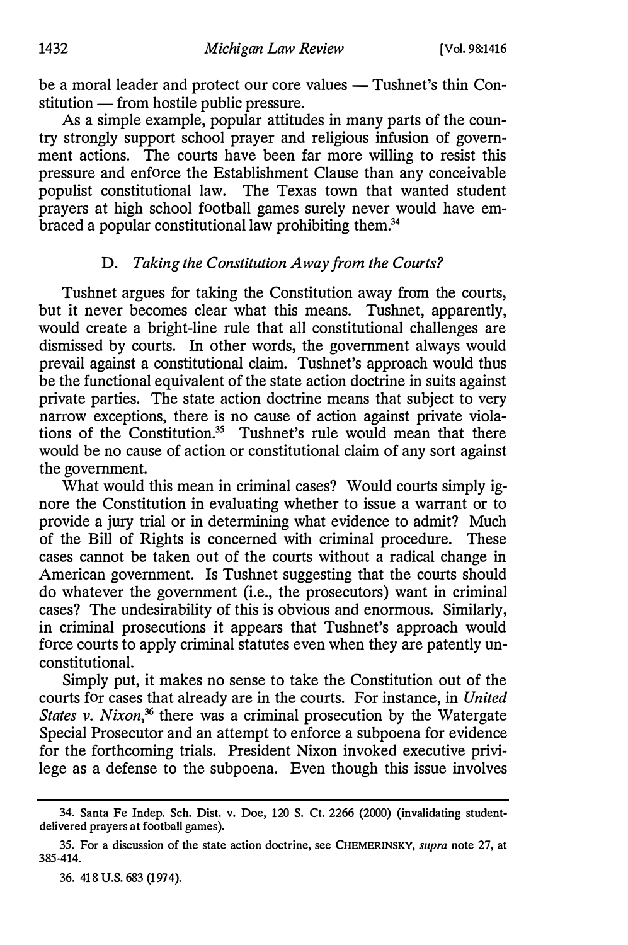be a moral leader and protect our core values - Tushnet's thin Con $stituting$   $-$  from hostile public pressure.

As a simple example, popular attitudes in many parts of the country strongly support school prayer and religious infusion of government actions. The courts have been far more willing to resist this pressure and enforce the Establishment Clause than any conceivable populist constitutional law. The Texas town that wanted student prayers at high school football games surely never would have embraced a popular constitutional law prohibiting them.<sup>34</sup>

#### D. Taking the Constitution Away from the Courts?

Tushnet argues for taking the Constitution away from the courts, but it never becomes clear what this means. Tushnet, apparently, would create a bright-line rule that all constitutional challenges are dismissed by courts. In other words, the government always would prevail against a constitutional claim. Tushnet's approach would thus be the functional equivalent of the state action doctrine in suits against private parties. The state action doctrine means that subject to very narrow exceptions, there is no cause of action against private violations of the Constitution.<sup>35</sup> Tushnet's rule would mean that there would be no cause of action or constitutional claim of any sort against the government.

What would this mean in criminal cases? Would courts simply ignore the Constitution in evaluating whether to issue a warrant or to provide a jury trial or in determining what evidence to admit? Much of the Bill of Rights is concerned with criminal procedure. These cases cannot be taken out of the courts without a radical change in American government. Is Tushnet suggesting that the courts should do whatever the government (i.e., the prosecutors) want in criminal cases? The undesirability of this is obvious and enormous. Similarly, in criminal prosecutions it appears that Tushnet's approach would force courts to apply criminal statutes even when they are patently unconstitutional.

Simply put, it makes no sense to take the Constitution out of the courts for cases that already are in the courts. For instance, in United States v. Nixon,<sup>36</sup> there was a criminal prosecution by the Watergate Special Prosecutor and an attempt to enforce a subpoena for evidence for the forthcoming trials. President Nixon invoked executive privilege as a defense to the subpoena. Even though this issue involves

36. 418 U.S. 683 (1974).

<sup>34.</sup> Santa Fe Indep. Sch. Dist. v. Doe, 120 S. Ct. 2266 (2000) (invalidating studentdelivered prayers at football games).

<sup>35.</sup> For a discussion of the state action doctrine, see CHEMERINSKY, supra note 27, at 385-414.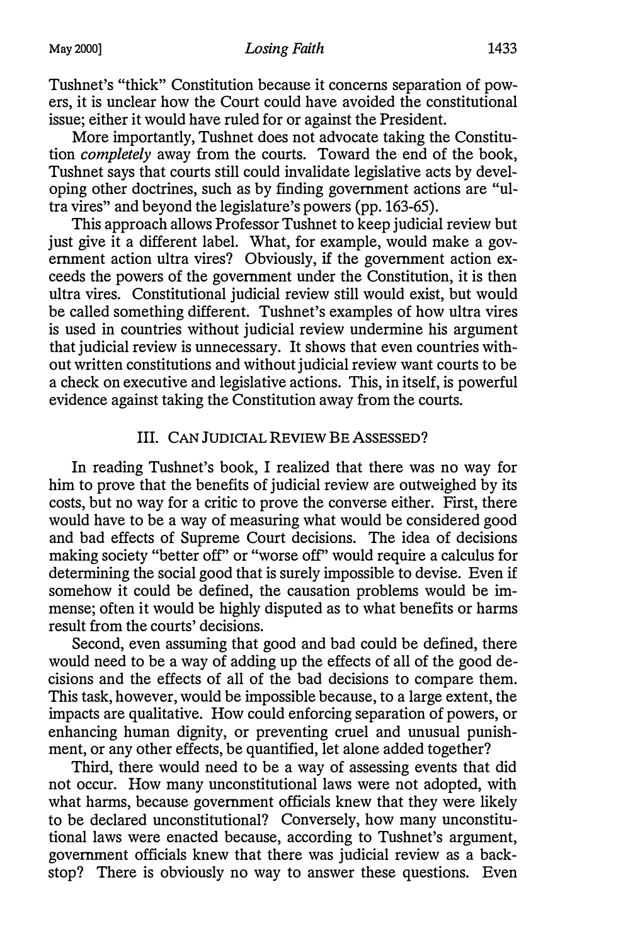Tushnet's "thick" Constitution because it concerns separation of powers, it is unclear how the Court could have avoided the constitutional issue; either it would have ruled for or against the President.

More importantly, Tushnet does not advocate taking the Constitution completely away from the courts. Toward the end of the book, Tushnet says that courts still could invalidate legislative acts by developing other doctrines, such as by finding government actions are "ultra vires" and beyond the legislature's powers (pp. 163-65).

This approach allows Professor Tushnet to keep judicial review but just give it a different label. What, for example, would make a government action ultra vires? Obviously, if the government action exceeds the powers of the government under the Constitution, it is then ultra vires. Constitutional judicial review still would exist, but would be called something different. Tushnet's examples of how ultra vires is used in countries without judicial review undermine his argument that judicial review is unnecessary. It shows that even countries without written constitutions and without judicial review want courts to be a check on executive and legislative actions. This, in itself, is powerful evidence against taking the Constitution away from the courts.

#### III. CAN JUDICIAL REVIEW BE ASSESSED?

In reading Tushnet's book, I realized that there was no way for him to prove that the benefits of judicial review are outweighed by its costs, but no way for a critic to prove the converse either. First, there would have to be a way of measuring what would be considered good and bad effects of Supreme Court decisions. The idea of decisions making society "better off" or "worse off" would require a calculus for determining the social good that is surely impossible to devise. Even if somehow it could be defined, the causation problems would be immense; often it would be highly disputed as to what benefits or harms result from the courts' decisions.

Second, even assuming that good and bad could be defined, there would need to be a way of adding up the effects of all of the good decisions and the effects of all of the bad decisions to compare them. This task, however, would be impossible because, to a large extent, the impacts are qualitative. How could enforcing separation of powers, or enhancing human dignity, or preventing cruel and unusual punishment, or any other effects, be quantified, let alone added together?

Third, there would need to be a way of assessing events that did not occur. How many unconstitutional laws were not adopted, with what harms, because government officials knew that they were likely to be declared unconstitutional? Conversely, how many unconstitutional laws were enacted because, according to Tushnet's argument, government officials knew that there was judicial review as a backstop? There is obviously no way to answer these questions. Even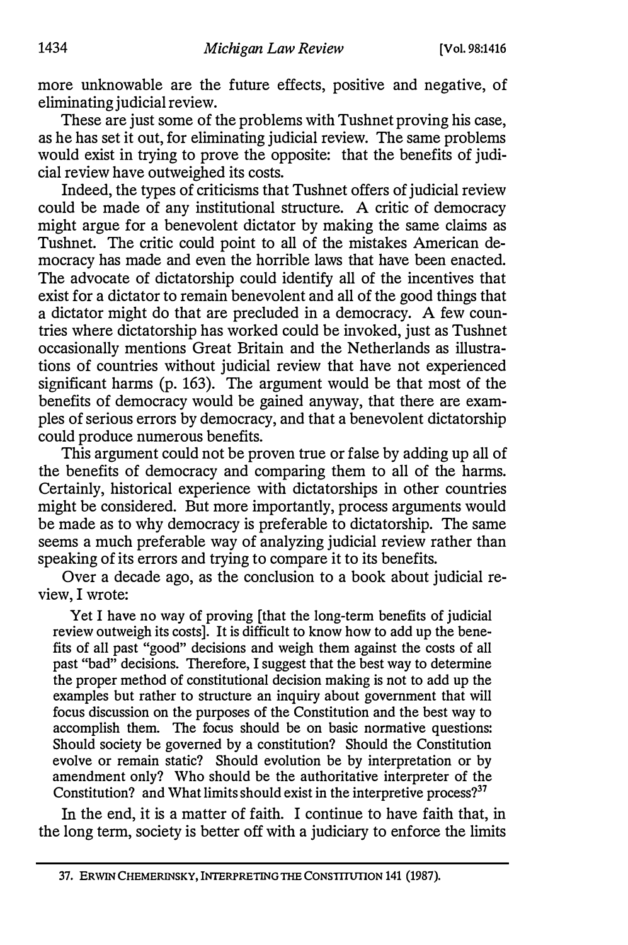more unknowable are the future effects, positive and negative, of eliminating judicial review.

These are just some of the problems with Tushnet proving his case, as he has set it out, for eliminating judicial review. The same problems would exist in trying to prove the opposite: that the benefits of judicial review have outweighed its costs.

Indeed, the types of criticisms that Tushnet offers of judicial review could be made of any institutional structure. A critic of democracy might argue for a benevolent dictator by making the same claims as Tushnet. The critic could point to all of the mistakes American democracy has made and even the horrible laws that have been enacted. The advocate of dictatorship could identify all of the incentives that exist for a dictator to remain benevolent and all of the good things that a dictator might do that are precluded in a democracy. A few countries where dictatorship has worked could be invoked, just as Tushnet occasionally mentions Great Britain and the Netherlands as illustrations of countries without judicial review that have not experienced significant harms (p. 163). The argument would be that most of the benefits of democracy would be gained anyway, that there are examples of serious errors by democracy, and that a benevolent dictatorship could produce numerous benefits.

This argument could not be proven true or false by adding up all of the benefits of democracy and comparing them to all of the harms. Certainly, historical experience with dictatorships in other countries might be considered. But more importantly, process arguments would be made as to why democracy is preferable to dictatorship. The same seems a much preferable way of analyzing judicial review rather than speaking of its errors and trying to compare it to its benefits.

Over a decade ago, as the conclusion to a book about judicial review, I wrote:

Yet I have no way of proving [that the long-term benefits of judicial review outweigh its costs]. It is difficult to know how to add up the benefits of all past "good" decisions and weigh them against the costs of all past "bad" decisions. Therefore, I suggest that the best way to determine the proper method of constitutional decision making is not to add up the examples but rather to structure an inquiry about government that will focus discussion on the purposes of the Constitution and the best way to accomplish them. The focus should be on basic normative questions: Should society be governed by a constitution? Should the Constitution evolve or remain static? Should evolution be by interpretation or by amendment only? Who should be the authoritative interpreter of the Constitution? and What limits should exist in the interpretive process?<sup>37</sup>

In the end, it is a matter of faith. I continue to have faith that, in the long term, society is better off with a judiciary to enforce the limits

<sup>37.</sup> ERWIN CHEMERINSKY, INTERPRETING THE CONSTITUTION 141 (1987).